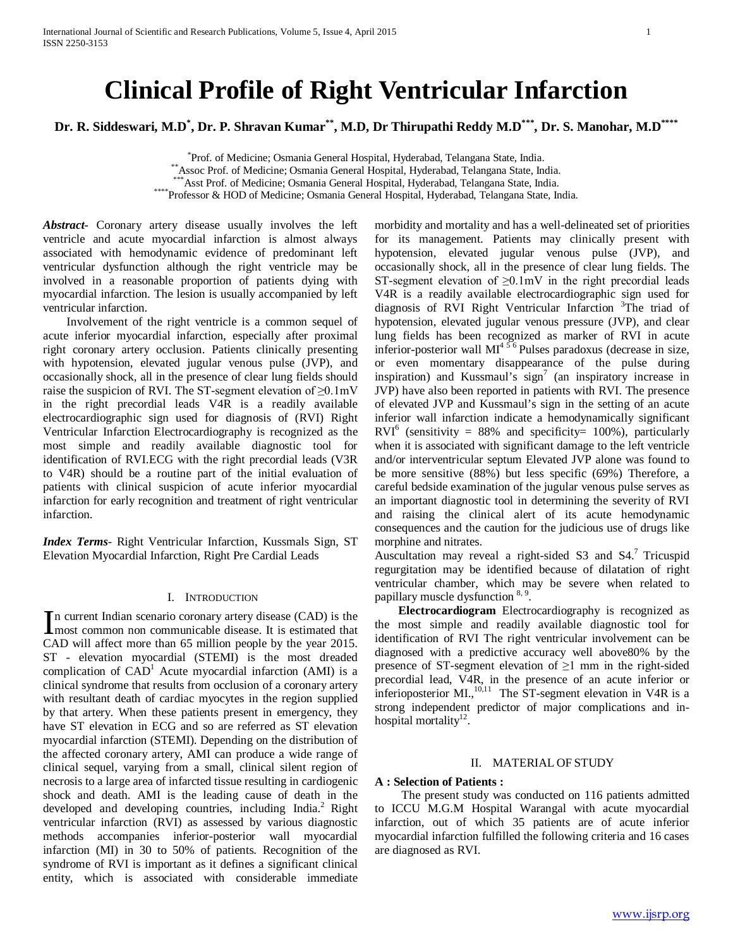# **Clinical Profile of Right Ventricular Infarction**

**Dr. R. Siddeswari, M.D\* , Dr. P. Shravan Kumar\*\*, M.D, Dr Thirupathi Reddy M.D\*\*\*, Dr. S. Manohar, M.D\*\*\*\***

\*Prof. of Medicine; Osmania General Hospital, Hyderabad, Telangana State, India. \*\* Assoc Prof. of Medicine; Osmania General Hospital, Hyderabad, Telangana State, India.<br>\*\*\* Asst Prof. of Medicine; Osmania General Hospital, Hyderabad, Telangana State, India.<br>\*\*\*\* Professor & HOD of Medicine; Osmania Ge

*Abstract***-** Coronary artery disease usually involves the left ventricle and acute myocardial infarction is almost always associated with hemodynamic evidence of predominant left ventricular dysfunction although the right ventricle may be involved in a reasonable proportion of patients dying with myocardial infarction. The lesion is usually accompanied by left ventricular infarction.

 Involvement of the right ventricle is a common sequel of acute inferior myocardial infarction, especially after proximal right coronary artery occlusion. Patients clinically presenting with hypotension, elevated jugular venous pulse (JVP), and occasionally shock, all in the presence of clear lung fields should raise the suspicion of RVI. The ST-segment elevation of  $\geq 0.1$ mV in the right precordial leads V4R is a readily available electrocardiographic sign used for diagnosis of (RVI) Right Ventricular Infarction Electrocardiography is recognized as the most simple and readily available diagnostic tool for identification of RVI.ECG with the right precordial leads (V3R to V4R) should be a routine part of the initial evaluation of patients with clinical suspicion of acute inferior myocardial infarction for early recognition and treatment of right ventricular infarction.

*Index Terms*- Right Ventricular Infarction, Kussmals Sign, ST Elevation Myocardial Infarction, Right Pre Cardial Leads

### I. INTRODUCTION

n current Indian scenario coronary artery disease (CAD) is the In current Indian scenario coronary artery disease (CAD) is the most common non communicable disease. It is estimated that  $G \triangle D$  is illustrated that CAD will affect more than 65 million people by the year 2015. ST - elevation myocardial (STEMI) is the most dreaded complication of  $CAD<sup>1</sup>$  Acute myocardial infarction (AMI) is a clinical syndrome that results from occlusion of a coronary artery with resultant death of cardiac myocytes in the region supplied by that artery. When these patients present in emergency, they have ST elevation in ECG and so are referred as ST elevation myocardial infarction (STEMI). Depending on the distribution of the affected coronary artery, AMI can produce a wide range of clinical sequel, varying from a small, clinical silent region of necrosis to a large area of infarcted tissue resulting in cardiogenic shock and death. AMI is the leading cause of death in the developed and developing countries, including India.<sup>2</sup> Right ventricular infarction (RVI) as assessed by various diagnostic methods accompanies inferior-posterior wall myocardial infarction (MI) in 30 to 50% of patients. Recognition of the syndrome of RVI is important as it defines a significant clinical entity, which is associated with considerable immediate

morbidity and mortality and has a well-delineated set of priorities for its management. Patients may clinically present with hypotension, elevated jugular venous pulse (JVP), and occasionally shock, all in the presence of clear lung fields. The ST-segment elevation of  $\geq 0.1$ mV in the right precordial leads V4R is a readily available electrocardiographic sign used for diagnosis of RVI Right Ventricular Infarction <sup>3</sup>The triad of hypotension, elevated jugular venous pressure (JVP), and clear lung fields has been recognized as marker of RVI in acute inferior-posterior wall  $MI<sup>456</sup>$  Pulses paradoxus (decrease in size, or even momentary disappearance of the pulse during inspiration) and Kussmaul's sign<sup>7</sup> (an inspiratory increase in JVP) have also been reported in patients with RVI. The presence of elevated JVP and Kussmaul's sign in the setting of an acute inferior wall infarction indicate a hemodynamically significant  $RVI<sup>6</sup>$  (sensitivity = 88% and specificity = 100%), particularly when it is associated with significant damage to the left ventricle and/or interventricular septum Elevated JVP alone was found to be more sensitive (88%) but less specific (69%) Therefore, a careful bedside examination of the jugular venous pulse serves as an important diagnostic tool in determining the severity of RVI and raising the clinical alert of its acute hemodynamic consequences and the caution for the judicious use of drugs like morphine and nitrates.

Auscultation may reveal a right-sided S3 and S4.7 Tricuspid regurgitation may be identified because of dilatation of right ventricular chamber, which may be severe when related to papillary muscle dysfunction <sup>8, 9</sup>.

 **Electrocardiogram** Electrocardiography is recognized as the most simple and readily available diagnostic tool for identification of RVI The right ventricular involvement can be diagnosed with a predictive accuracy well above80% by the presence of ST-segment elevation of  $\geq 1$  mm in the right-sided precordial lead, V4R, in the presence of an acute inferior or inferioposterior MI., $^{10,11}$  The ST-segment elevation in V4R is a strong independent predictor of major complications and inhospital mortality $12$ .

# II. MATERIAL OF STUDY

## **A : Selection of Patients :**

 The present study was conducted on 116 patients admitted to ICCU M.G.M Hospital Warangal with acute myocardial infarction, out of which 35 patients are of acute inferior myocardial infarction fulfilled the following criteria and 16 cases are diagnosed as RVI.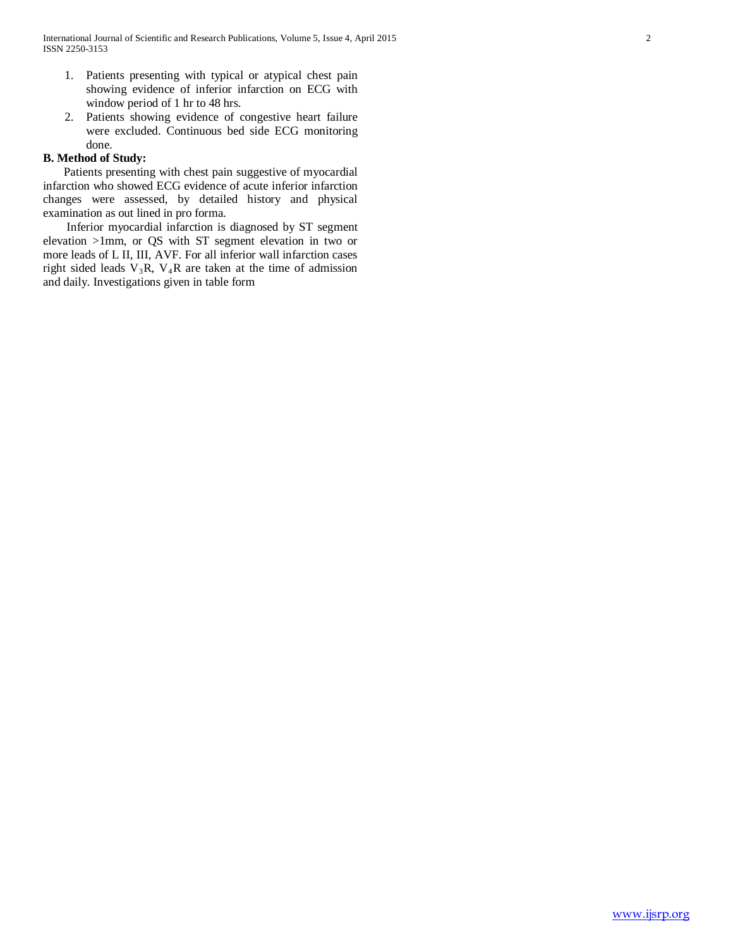- 1. Patients presenting with typical or atypical chest pain showing evidence of inferior infarction on ECG with window period of 1 hr to 48 hrs.
- 2. Patients showing evidence of congestive heart failure were excluded. Continuous bed side ECG monitoring done.

# **B. Method of Study:**

 Patients presenting with chest pain suggestive of myocardial infarction who showed ECG evidence of acute inferior infarction changes were assessed, by detailed history and physical examination as out lined in pro forma.

 Inferior myocardial infarction is diagnosed by ST segment elevation >1mm, or QS with ST segment elevation in two or more leads of L II, III, AVF. For all inferior wall infarction cases right sided leads  $V_3R$ ,  $V_4R$  are taken at the time of admission and daily. Investigations given in table form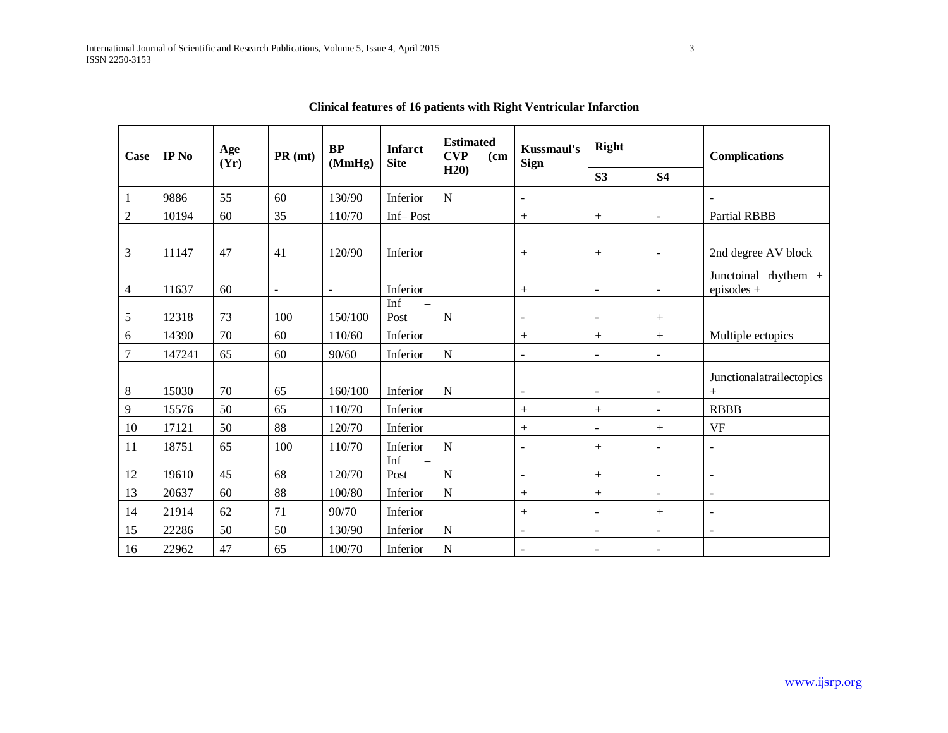| Case | IP No  | Age<br>(Yr) | PR (mt)        | <b>BP</b><br>(MmHg)      | <b>Infarct</b><br><b>Site</b> | <b>Estimated</b><br><b>CVP</b><br>(c <sub>m</sub> ) | <b>Kussmaul's</b><br><b>Sign</b> | Right                    |                          | <b>Complications</b>                 |  |
|------|--------|-------------|----------------|--------------------------|-------------------------------|-----------------------------------------------------|----------------------------------|--------------------------|--------------------------|--------------------------------------|--|
|      |        |             |                |                          |                               | H20                                                 |                                  | S3                       | <b>S4</b>                |                                      |  |
| 1    | 9886   | 55          | 60             | 130/90                   | Inferior                      | $\mathbf N$                                         | $\blacksquare$                   |                          |                          | $\sim$                               |  |
| 2    | 10194  | 60          | 35             | 110/70                   | Inf-Post                      |                                                     | $^{+}$                           | $^{+}$                   | $\equiv$                 | <b>Partial RBBB</b>                  |  |
| 3    | 11147  | 47          | 41             | 120/90                   | Inferior                      |                                                     | $^{+}$                           |                          | $\blacksquare$           | 2nd degree AV block                  |  |
| 4    | 11637  | 60          | $\blacksquare$ | $\overline{\phantom{a}}$ | Inferior                      |                                                     | $^{+}$                           | $\blacksquare$           | $\overline{\phantom{a}}$ | Junctoinal rhythem +<br>episodes $+$ |  |
| 5    | 12318  | 73          | 100            | 150/100                  | Inf<br>$\equiv$<br>Post       | N                                                   | $\overline{\phantom{a}}$         | $\overline{\phantom{a}}$ | $^{+}$                   |                                      |  |
| 6    | 14390  | 70          | 60             | 110/60                   | Inferior                      |                                                     | $^{+}$                           | $^{+}$                   | $+$                      | Multiple ectopics                    |  |
| 7    | 147241 | 65          | 60             | 90/60                    | Inferior                      | $\mathbf N$                                         | $\overline{\phantom{a}}$         | $\blacksquare$           | $\sim$                   |                                      |  |
| 8    | 15030  | 70          | 65             | 160/100                  | Inferior                      | N                                                   | $\overline{\phantom{a}}$         | $\overline{\phantom{a}}$ | $\blacksquare$           | Junctionalatrailectopics<br>$^{+}$   |  |
| 9    | 15576  | 50          | 65             | 110/70                   | Inferior                      |                                                     | $+$                              | $^{+}$                   | $\blacksquare$           | <b>RBBB</b>                          |  |
| 10   | 17121  | 50          | 88             | 120/70                   | Inferior                      |                                                     | $^{+}$                           | $\omega$                 | $+$                      | <b>VF</b>                            |  |
| 11   | 18751  | 65          | 100            | 110/70                   | Inferior                      | $\mathbf N$                                         | $\blacksquare$                   | $+$                      | $\sim$                   | $\blacksquare$                       |  |
| 12   | 19610  | 45          | 68             | 120/70                   | Inf<br>$\equiv$<br>Post       | N                                                   | $\blacksquare$                   | $^{+}$                   | $\equiv$                 | $\overline{\phantom{a}}$             |  |
| 13   | 20637  | 60          | 88             | 100/80                   | Inferior                      | $\mathbf N$                                         | $^{+}$                           | $^{+}$                   | $\sim$                   | $\blacksquare$                       |  |
| 14   | 21914  | 62          | 71             | 90/70                    | Inferior                      |                                                     | $^{+}$                           | $\blacksquare$           | $^{+}$                   | $\sim$                               |  |
| 15   | 22286  | 50          | 50             | 130/90                   | Inferior                      | ${\bf N}$                                           | $\blacksquare$                   | $\blacksquare$           | $\blacksquare$           | $\blacksquare$                       |  |
| 16   | 22962  | 47          | 65             | 100/70                   | Inferior                      | N                                                   | $\overline{\phantom{a}}$         | $\sim$                   | $\sim$                   |                                      |  |

**Clinical features of 16 patients with Right Ventricular Infarction**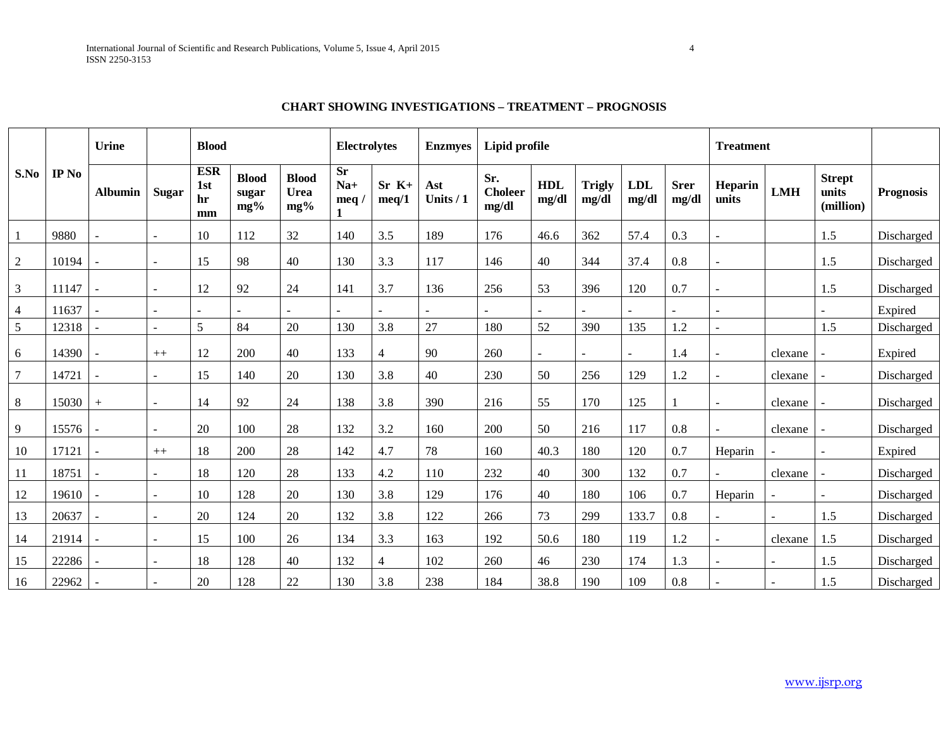|       |       | <b>Urine</b>   |              | <b>Blood</b>                  |                                 |                             | <b>Electrolytes</b>         |                  | <b>Enzmyes</b>   | Lipid profile                  |                     |                        |                     | <b>Treatment</b>     |                  |            |                                     |                  |
|-------|-------|----------------|--------------|-------------------------------|---------------------------------|-----------------------------|-----------------------------|------------------|------------------|--------------------------------|---------------------|------------------------|---------------------|----------------------|------------------|------------|-------------------------------------|------------------|
| S.No  | IP No | <b>Albumin</b> | <b>Sugar</b> | <b>ESR</b><br>1st<br>hr<br>mm | <b>Blood</b><br>sugar<br>$mg\%$ | <b>Blood</b><br>Urea<br>mg% | <b>Sr</b><br>$Na+$<br>meq / | $Sr K+$<br>meq/1 | Ast<br>Units / 1 | Sr.<br><b>Choleer</b><br>mg/dl | <b>HDL</b><br>mg/dl | <b>Trigly</b><br>mg/dl | <b>LDL</b><br>mg/dl | <b>Srer</b><br>mg/dl | Heparin<br>units | <b>LMH</b> | <b>Strept</b><br>units<br>(million) | <b>Prognosis</b> |
|       | 9880  |                |              | 10                            | 112                             | 32                          | 140                         | 3.5              | 189              | 176                            | 46.6                | 362                    | 57.4                | 0.3                  |                  |            | 1.5                                 | Discharged       |
| 2     | 10194 |                |              | 15                            | 98                              | 40                          | 130                         | 3.3              | 117              | 146                            | 40                  | 344                    | 37.4                | 0.8                  | $\overline{a}$   |            | 1.5                                 | Discharged       |
| 3     | 11147 |                |              | 12                            | 92                              | 24                          | 141                         | 3.7              | 136              | 256                            | 53                  | 396                    | 120                 | 0.7                  |                  |            | 1.5                                 | Discharged       |
| 4     | 11637 |                |              |                               |                                 |                             |                             |                  |                  |                                |                     |                        |                     |                      |                  |            |                                     | Expired          |
| 5     | 12318 |                |              | 5                             | 84                              | 20                          | 130                         | 3.8              | 27               | 180                            | 52                  | 390                    | 135                 | 1.2                  | $\overline{a}$   |            | 1.5                                 | Discharged       |
| 6     | 14390 |                | $++$         | 12                            | 200                             | 40                          | 133                         | $\overline{4}$   | 90               | 260                            |                     |                        |                     | 1.4                  | $\blacksquare$   | clexane    |                                     | Expired          |
| 7     | 14721 |                |              | 15                            | 140                             | 20                          | 130                         | 3.8              | 40               | 230                            | 50                  | 256                    | 129                 | 1.2                  |                  | clexane    |                                     | Discharged       |
| $8\,$ | 15030 | $^{+}$         |              | 14                            | 92                              | 24                          | 138                         | 3.8              | 390              | 216                            | 55                  | 170                    | 125                 |                      | $\overline{a}$   | clexane    |                                     | Discharged       |
| 9     | 15576 |                |              | 20                            | 100                             | 28                          | 132                         | 3.2              | 160              | 200                            | 50                  | 216                    | 117                 | 0.8                  | $\overline{a}$   | clexane    |                                     | Discharged       |
| 10    | 17121 |                | $++$         | 18                            | 200                             | 28                          | 142                         | 4.7              | 78               | 160                            | 40.3                | 180                    | 120                 | 0.7                  | Heparin          |            |                                     | Expired          |
| 11    | 18751 |                |              | 18                            | 120                             | 28                          | 133                         | 4.2              | 110              | 232                            | 40                  | 300                    | 132                 | 0.7                  |                  | clexane    |                                     | Discharged       |
| 12    | 19610 |                |              | 10                            | 128                             | 20                          | 130                         | 3.8              | 129              | 176                            | 40                  | 180                    | 106                 | 0.7                  | Heparin          |            |                                     | Discharged       |
| 13    | 20637 | $\blacksquare$ |              | 20                            | 124                             | 20                          | 132                         | 3.8              | 122              | 266                            | 73                  | 299                    | 133.7               | 0.8                  | $\overline{a}$   |            | 1.5                                 | Discharged       |
| 14    | 21914 |                |              | 15                            | 100                             | 26                          | 134                         | 3.3              | 163              | 192                            | 50.6                | 180                    | 119                 | 1.2                  | $\overline{a}$   | clexane    | 1.5                                 | Discharged       |
| 15    | 22286 |                |              | 18                            | 128                             | 40                          | 132                         | $\overline{4}$   | 102              | 260                            | 46                  | 230                    | 174                 | 1.3                  |                  |            | 1.5                                 | Discharged       |
| 16    | 22962 |                |              | 20                            | 128                             | 22                          | 130                         | 3.8              | 238              | 184                            | 38.8                | 190                    | 109                 | 0.8                  |                  |            | 1.5                                 | Discharged       |

# **CHART SHOWING INVESTIGATIONS – TREATMENT – PROGNOSIS**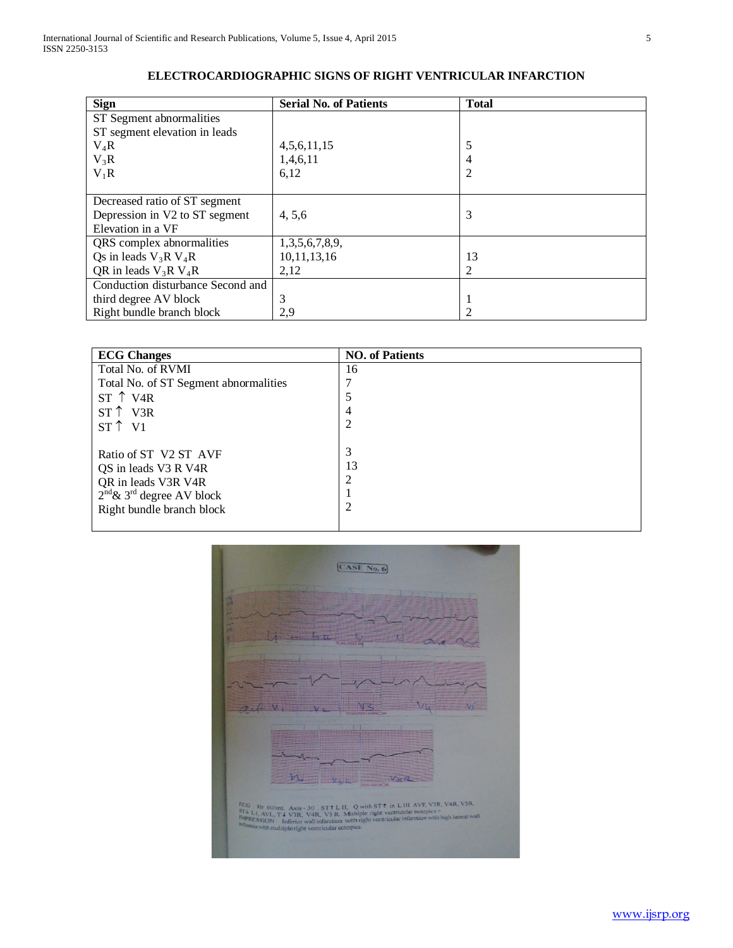| <b>Sign</b>                       | <b>Serial No. of Patients</b> | <b>Total</b> |  |  |  |  |
|-----------------------------------|-------------------------------|--------------|--|--|--|--|
| ST Segment abnormalities          |                               |              |  |  |  |  |
| ST segment elevation in leads     |                               |              |  |  |  |  |
| $V_4R$                            | 4,5,6,11,15                   |              |  |  |  |  |
| $V_3R$                            | 1,4,6,11                      |              |  |  |  |  |
| $V_1R$                            | 6,12                          |              |  |  |  |  |
|                                   |                               |              |  |  |  |  |
| Decreased ratio of ST segment     |                               |              |  |  |  |  |
| Depression in V2 to ST segment    | 4, 5, 6                       | 3            |  |  |  |  |
| Elevation in a VF                 |                               |              |  |  |  |  |
| QRS complex abnormalities         | 1,3,5,6,7,8,9,                |              |  |  |  |  |
| Qs in leads $V_3R V_4R$           | 10,11,13,16                   | 13           |  |  |  |  |
| QR in leads $V_3R V_4R$           | 2,12                          |              |  |  |  |  |
| Conduction disturbance Second and |                               |              |  |  |  |  |
| third degree AV block             | 3                             |              |  |  |  |  |
| Right bundle branch block         | 2,9                           |              |  |  |  |  |

# **ELECTROCARDIOGRAPHIC SIGNS OF RIGHT VENTRICULAR INFARCTION**

| <b>ECG Changes</b>                                                                                                                                     | <b>NO.</b> of Patients |
|--------------------------------------------------------------------------------------------------------------------------------------------------------|------------------------|
| Total No. of RVMI                                                                                                                                      | 16                     |
| Total No. of ST Segment abnormalities                                                                                                                  |                        |
| $ST \uparrow VAR$                                                                                                                                      |                        |
| $ST \uparrow V3R$                                                                                                                                      | 4                      |
| $ST \uparrow V1$                                                                                                                                       |                        |
| Ratio of ST V2 ST AVF<br>QS in leads V3 R V4R<br>QR in leads V3R V4R<br>$2^{\text{nd}}$ & 3 <sup>rd</sup> degree AV block<br>Right bundle branch block | 3<br>13                |
|                                                                                                                                                        |                        |

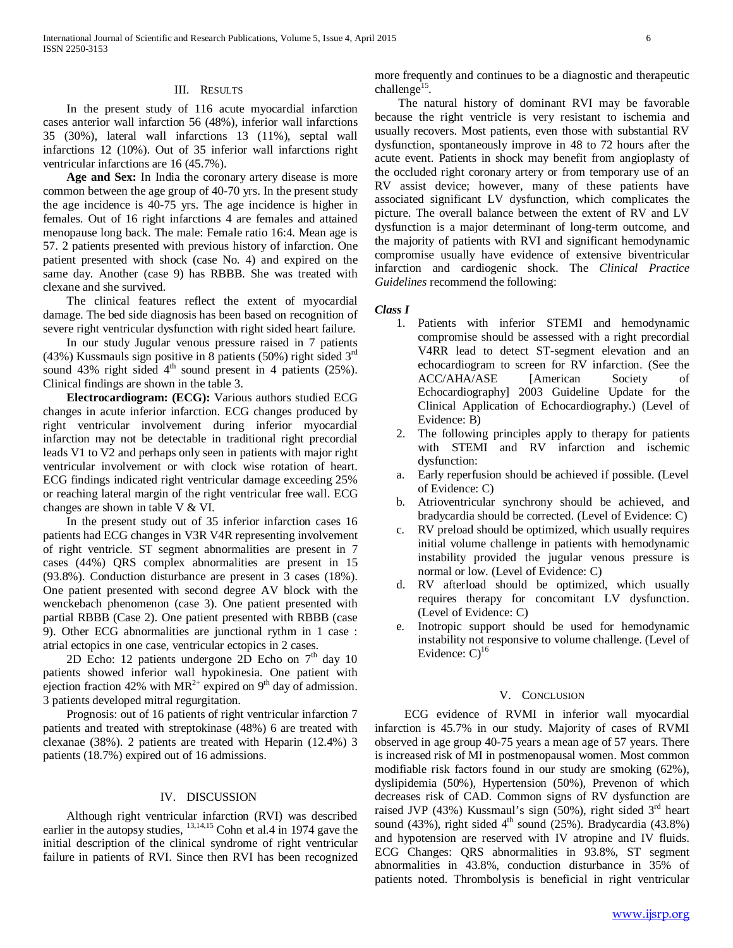# III. RESULTS

 In the present study of 116 acute myocardial infarction cases anterior wall infarction 56 (48%), inferior wall infarctions 35 (30%), lateral wall infarctions 13 (11%), septal wall infarctions 12 (10%). Out of 35 inferior wall infarctions right ventricular infarctions are 16 (45.7%).

 **Age and Sex:** In India the coronary artery disease is more common between the age group of 40-70 yrs. In the present study the age incidence is 40-75 yrs. The age incidence is higher in females. Out of 16 right infarctions 4 are females and attained menopause long back. The male: Female ratio 16:4. Mean age is 57. 2 patients presented with previous history of infarction. One patient presented with shock (case No. 4) and expired on the same day. Another (case 9) has RBBB. She was treated with clexane and she survived.

 The clinical features reflect the extent of myocardial damage. The bed side diagnosis has been based on recognition of severe right ventricular dysfunction with right sided heart failure.

 In our study Jugular venous pressure raised in 7 patients (43%) Kussmauls sign positive in 8 patients (50%) right sided  $3<sup>rd</sup>$ sound 43% right sided  $4<sup>th</sup>$  sound present in 4 patients (25%). Clinical findings are shown in the table 3.

 **Electrocardiogram: (ECG):** Various authors studied ECG changes in acute inferior infarction. ECG changes produced by right ventricular involvement during inferior myocardial infarction may not be detectable in traditional right precordial leads V1 to V2 and perhaps only seen in patients with major right ventricular involvement or with clock wise rotation of heart. ECG findings indicated right ventricular damage exceeding 25% or reaching lateral margin of the right ventricular free wall. ECG changes are shown in table V & VI.

 In the present study out of 35 inferior infarction cases 16 patients had ECG changes in V3R V4R representing involvement of right ventricle. ST segment abnormalities are present in 7 cases (44%) QRS complex abnormalities are present in 15 (93.8%). Conduction disturbance are present in 3 cases (18%). One patient presented with second degree AV block with the wenckebach phenomenon (case 3). One patient presented with partial RBBB (Case 2). One patient presented with RBBB (case 9). Other ECG abnormalities are junctional rythm in 1 case : atrial ectopics in one case, ventricular ectopics in 2 cases.

2D Echo: 12 patients undergone 2D Echo on  $7<sup>th</sup>$  day 10 patients showed inferior wall hypokinesia. One patient with ejection fraction 42% with  $MR^{2+}$  expired on 9<sup>th</sup> day of admission. 3 patients developed mitral regurgitation.

 Prognosis: out of 16 patients of right ventricular infarction 7 patients and treated with streptokinase (48%) 6 are treated with clexanae (38%). 2 patients are treated with Heparin (12.4%) 3 patients (18.7%) expired out of 16 admissions.

## IV. DISCUSSION

 Although right ventricular infarction (RVI) was described earlier in the autopsy studies, <sup>13,14,15</sup> Cohn et al.4 in 1974 gave the initial description of the clinical syndrome of right ventricular failure in patients of RVI. Since then RVI has been recognized more frequently and continues to be a diagnostic and therapeutic challenge<sup>15</sup>.

 The natural history of dominant RVI may be favorable because the right ventricle is very resistant to ischemia and usually recovers. Most patients, even those with substantial RV dysfunction, spontaneously improve in 48 to 72 hours after the acute event. Patients in shock may benefit from angioplasty of the occluded right coronary artery or from temporary use of an RV assist device; however, many of these patients have associated significant LV dysfunction, which complicates the picture. The overall balance between the extent of RV and LV dysfunction is a major determinant of long-term outcome, and the majority of patients with RVI and significant hemodynamic compromise usually have evidence of extensive biventricular infarction and cardiogenic shock. The *Clinical Practice Guidelines* recommend the following:

### *Class I*

- 1. Patients with inferior STEMI and hemodynamic compromise should be assessed with a right precordial V4RR lead to detect ST-segment elevation and an echocardiogram to screen for RV infarction. (See the ACC/AHA/ASE [American Society of Echocardiography] 2003 Guideline Update for the Clinical Application of Echocardiography.) (Level of Evidence: B)
- 2. The following principles apply to therapy for patients with STEMI and RV infarction and ischemic dysfunction:
- a. Early reperfusion should be achieved if possible. (Level of Evidence: C)
- b. Atrioventricular synchrony should be achieved, and bradycardia should be corrected. (Level of Evidence: C)
- c. RV preload should be optimized, which usually requires initial volume challenge in patients with hemodynamic instability provided the jugular venous pressure is normal or low. (Level of Evidence: C)
- d. RV afterload should be optimized, which usually requires therapy for concomitant LV dysfunction. (Level of Evidence: C)
- e. Inotropic support should be used for hemodynamic instability not responsive to volume challenge. (Level of Evidence:  $C$ <sup>16</sup>

#### V. CONCLUSION

 ECG evidence of RVMI in inferior wall myocardial infarction is 45.7% in our study. Majority of cases of RVMI observed in age group 40-75 years a mean age of 57 years. There is increased risk of MI in postmenopausal women. Most common modifiable risk factors found in our study are smoking (62%), dyslipidemia (50%), Hypertension (50%), Prevenon of which decreases risk of CAD. Common signs of RV dysfunction are raised JVP (43%) Kussmaul's sign (50%), right sided  $3<sup>rd</sup>$  heart sound (43%), right sided  $4<sup>th</sup>$  sound (25%). Bradycardia (43.8%) and hypotension are reserved with IV atropine and IV fluids. ECG Changes: QRS abnormalities in 93.8%, ST segment abnormalities in 43.8%, conduction disturbance in 35% of patients noted. Thrombolysis is beneficial in right ventricular